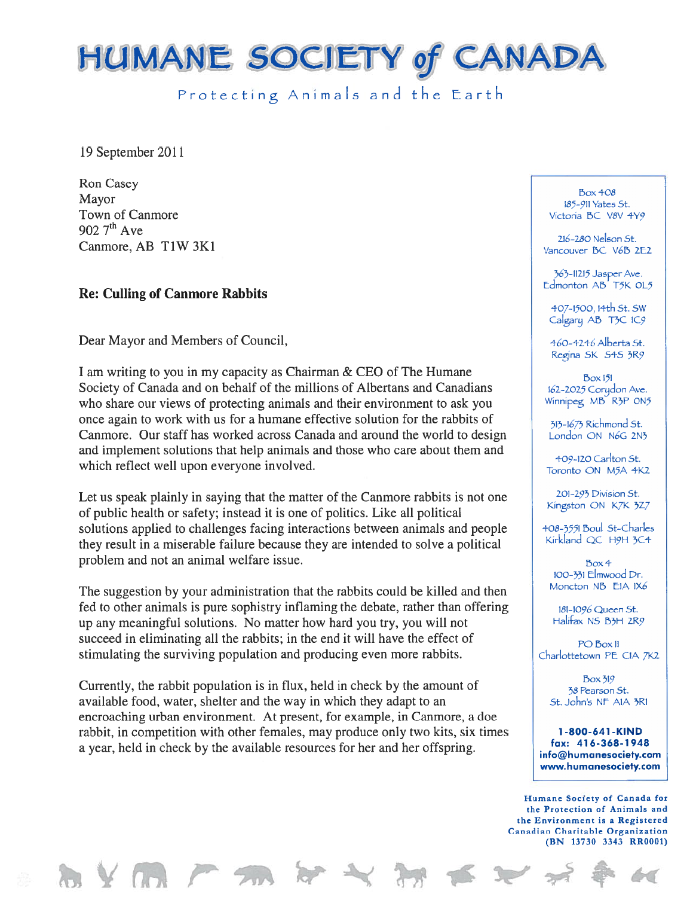

Protecting Animals and the Earth

19 September 2011

Ron Casey  $_{\text{Box} + \text{O}}$  Box 408 Town of Canmore The Contract of Canmore Contract of Canmore Victoria BC V8V 4Y9 902  $7<sup>th</sup>$  Ave  $\begin{array}{ccc}\n\text{216--280 Nelson St.} \\
\text{Cammore, AB T1W 3K1}\n\end{array}$ 

## Re: Culling of Canmore Rabbits

Dear Mayor and Members of Council,  $\left\{ \left. \right. \right. \right. \left. +60-4246 \right. \right\}$  Alberta St.

I am writing to you in my capacity as Chairman & CEO of The Humane Society of Canada and on behalf of the millions of Albertans and Canadians  $\frac{162-2025 \text{ Corydon}}{162-2025 \text{ Corydon}}$ who share our views of protecting animals and their environment to ask you Winnipeg MB R3P ON5 once again to work with us for a humane effective solution for the rabbits of  $\frac{3}{13-1673}$  Richmond St. Canmore. Our staff has worked across Canada and around the world to design London ON N6G 2N3 and implement solutions that help animals and those who care about them and  $\frac{409-120 \text{ Carlton St.}}{409-120 \text{ Carlton St.}}$ 

Let us speak plainly in saying that the matter of the Canmore rabbits is not one<br>
of public health or safety; instead it is one of politics. Like all political<br>  $\frac{201-295 \text{ Division St.}}{\text{Kingston ON K/K 327}}$ solutions applied to challenges facing interactions between animals and people  $+0.8-3551$  Boul St-Charles<br>they recult in a miserable failure because they are intended to solve a political Kirkland QC H9H 3C4 they result in a miserable failure because they are intended to solve a political problem and not an animal welfare issue.

The suggestion by your administration that the rabbits could be killed and then Moncton NB EIA IX6 fed to other animals is pure sophistry inflaming the debate, rather than offering  $181-1096$  Queen St. up any meaningful solutions. No matter how hard you try, you will not  $H\text{alifax NS B3H 2R9}$ succeed in eliminating all the rabbits; in the end it will have the effect of  $P_{O\text{Box}11}$ stimulating the surviving population and producing even more rabbits.  $\left| \right|$  Charlottetown PE CIA 7K2

Currently, the rabbit population is in flux, held in check by the amount of  $\frac{B \text{ or } 319}{38 \text{ Pearson St.}}$ available food, water, shelter and the way in which they adapt to an st. John's NF AIA 3RI encroaching urban environment. At present, for example, in Canmore, <sup>a</sup> doe rabbit, in competition with other females, may produce only two kits, six times 1-800-641-KIND<br>a year, hald in aboals by the available recourses for her and her offensing. (ax: 416-368-1948) a year, held in check by the available resources for her and her offspring.<br>info@humanesociety.com

565-11215 Jasper Ave. Edmonton AB<sup>'</sup> T5K OL5

+07-1500, i+th St. SW Calgary  $AB$  T3C IC9

Regina SK 5+5 5R9

 $Box 151$ 

 $Box4$ 100-331 Elmwood Dr.

www.humanesociety.com

Humane Society of Canada for the Protection of Animals and the Environment is <sup>a</sup> Registered Canadian Charitable Organization (BN 13730 3343 RR0001)

 $Y$  (i.e.